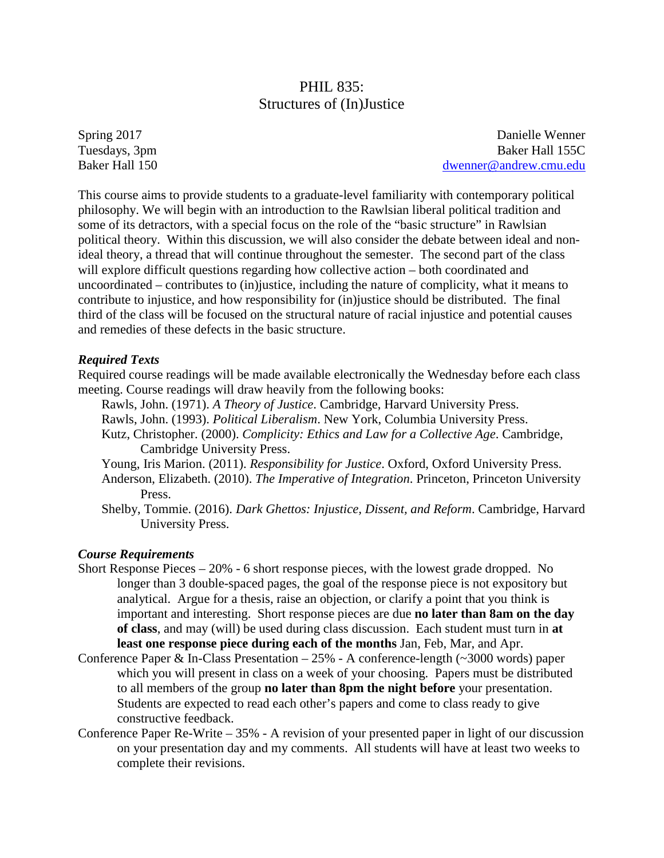## PHIL 835: Structures of (In)Justice

Spring 2017 Tuesdays, 3pm Baker Hall 150

Danielle Wenner Baker Hall 155C [dwenner@andrew.cmu.edu](mailto:dwenner@andrew.cmu.edu)

This course aims to provide students to a graduate-level familiarity with contemporary political philosophy. We will begin with an introduction to the Rawlsian liberal political tradition and some of its detractors, with a special focus on the role of the "basic structure" in Rawlsian political theory. Within this discussion, we will also consider the debate between ideal and nonideal theory, a thread that will continue throughout the semester. The second part of the class will explore difficult questions regarding how collective action – both coordinated and uncoordinated – contributes to (in)justice, including the nature of complicity, what it means to contribute to injustice, and how responsibility for (in)justice should be distributed. The final third of the class will be focused on the structural nature of racial injustice and potential causes and remedies of these defects in the basic structure.

#### *Required Texts*

Required course readings will be made available electronically the Wednesday before each class meeting. Course readings will draw heavily from the following books:

- Rawls, John. (1971). *A Theory of Justice*. Cambridge, Harvard University Press.
- Rawls, John. (1993). *Political Liberalism*. New York, Columbia University Press.
- Kutz, Christopher. (2000). *Complicity: Ethics and Law for a Collective Age*. Cambridge, Cambridge University Press.
- Young, Iris Marion. (2011). *Responsibility for Justice*. Oxford, Oxford University Press.
- Anderson, Elizabeth. (2010). *The Imperative of Integration*. Princeton, Princeton University Press.
- Shelby, Tommie. (2016). *Dark Ghettos: Injustice, Dissent, and Reform*. Cambridge, Harvard University Press.

#### *Course Requirements*

- Short Response Pieces 20% 6 short response pieces, with the lowest grade dropped. No longer than 3 double-spaced pages, the goal of the response piece is not expository but analytical. Argue for a thesis, raise an objection, or clarify a point that you think is important and interesting. Short response pieces are due **no later than 8am on the day of class**, and may (will) be used during class discussion. Each student must turn in **at least one response piece during each of the months** Jan, Feb, Mar, and Apr.
- Conference Paper & In-Class Presentation  $-25%$  A conference-length ( $\sim$ 3000 words) paper which you will present in class on a week of your choosing. Papers must be distributed to all members of the group **no later than 8pm the night before** your presentation. Students are expected to read each other's papers and come to class ready to give constructive feedback.
- Conference Paper Re-Write 35% A revision of your presented paper in light of our discussion on your presentation day and my comments. All students will have at least two weeks to complete their revisions.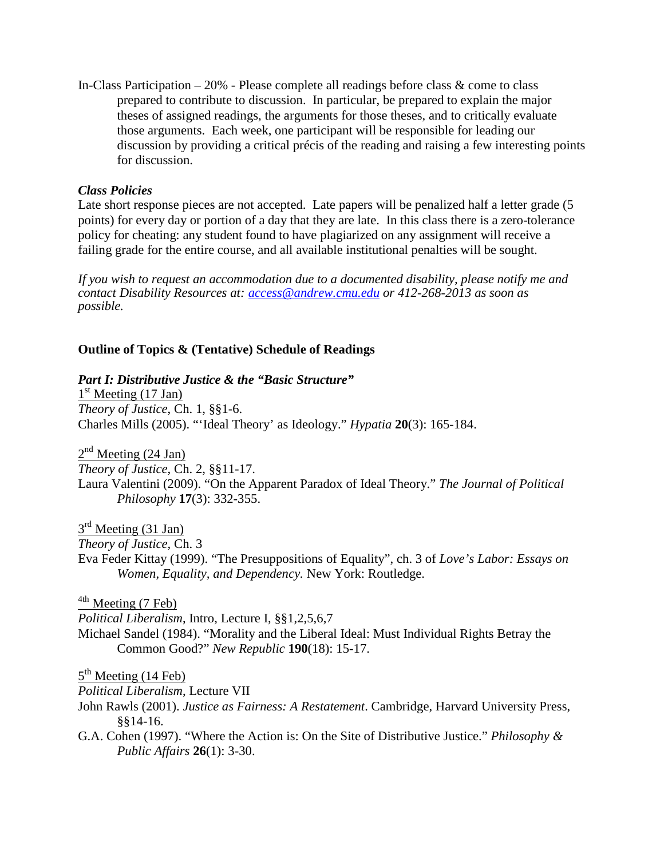In-Class Participation – 20% - Please complete all readings before class & come to class prepared to contribute to discussion. In particular, be prepared to explain the major theses of assigned readings, the arguments for those theses, and to critically evaluate those arguments. Each week, one participant will be responsible for leading our discussion by providing a critical précis of the reading and raising a few interesting points for discussion.

## *Class Policies*

Late short response pieces are not accepted. Late papers will be penalized half a letter grade (5) points) for every day or portion of a day that they are late. In this class there is a zero-tolerance policy for cheating: any student found to have plagiarized on any assignment will receive a failing grade for the entire course, and all available institutional penalties will be sought.

*If you wish to request an accommodation due to a documented disability, please notify me and contact Disability Resources at: [access@andrew.cmu.edu](mailto:access@andrew.cmu.edu) or 412-268-2013 as soon as possible.*

### **Outline of Topics & (Tentative) Schedule of Readings**

### *Part I: Distributive Justice & the "Basic Structure"*

 $1<sup>st</sup>$  Meeting (17 Jan) *Theory of Justice*, Ch. 1, §§1-6. Charles Mills (2005). "'Ideal Theory' as Ideology." *Hypatia* **20**(3): 165-184.

 $2<sup>nd</sup>$  Meeting (24 Jan) *Theory of Justice,* Ch. 2, §§11-17. Laura Valentini (2009). "On the Apparent Paradox of Ideal Theory." *The Journal of Political Philosophy* **17**(3): 332-355.

 $3<sup>rd</sup>$  Meeting (31 Jan)

*Theory of Justice,* Ch. 3

Eva Feder Kittay (1999). "The Presuppositions of Equality", ch. 3 of *Love's Labor: Essays on Women, Equality, and Dependency.* New York: Routledge.

 $4<sup>4th</sup>$  Meeting (7 Feb)

*Political Liberalism*, Intro, Lecture I, §§1,2,5,6,7 Michael Sandel (1984). "Morality and the Liberal Ideal: Must Individual Rights Betray the Common Good?" *New Republic* **190**(18): 15-17.

 $5<sup>th</sup> Meeting (14 Feb)$ 

*Political Liberalism*, Lecture VII

- John Rawls (2001). *Justice as Fairness: A Restatement*. Cambridge, Harvard University Press, §§14-16.
- G.A. Cohen (1997). "Where the Action is: On the Site of Distributive Justice." *Philosophy & Public Affairs* **26**(1): 3-30.